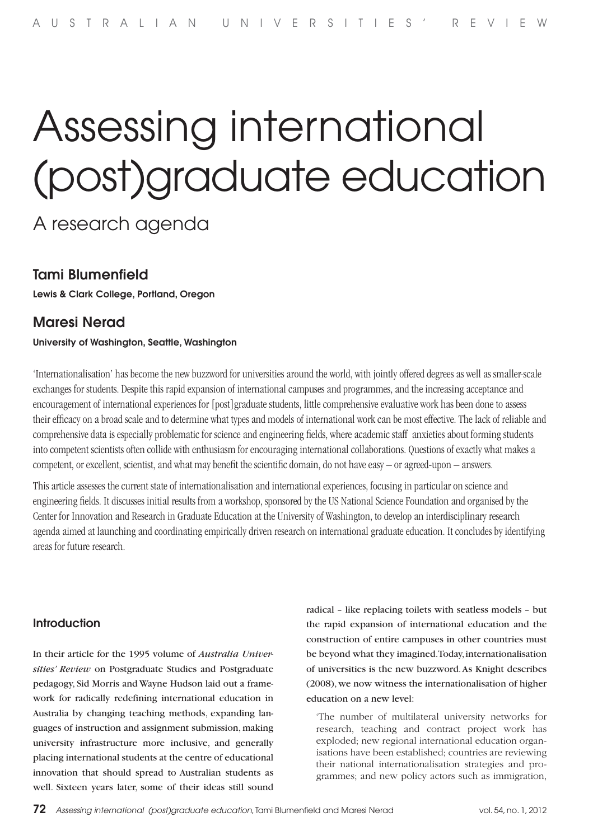# Assessing international (post)graduate education

## A research agenda

## Tami Blumenfield

Lewis & Clark College, Portland, Oregon

## Maresi Nerad

#### University of Washington, Seattle, Washington

'Internationalisation' has become the new buzzword for universities around the world, with jointly offered degrees as well as smaller-scale exchanges for students. Despite this rapid expansion of international campuses and programmes, and the increasing acceptance and encouragement of international experiences for [post]graduate students, little comprehensive evaluative work has been done to assess their efficacy on a broad scale and to determine what types and models of international work can be most effective. The lack of reliable and comprehensive data is especially problematic for science and engineering fields, where academic staff anxieties about forming students into competent scientists often collide with enthusiasm for encouraging international collaborations. Questions of exactly what makes a competent, or excellent, scientist, and what may benefit the scientific domain, do not have easy – or agreed-upon – answers.

This article assesses the current state of internationalisation and international experiences, focusing in particular on science and engineering fields. It discusses initial results from a workshop, sponsored by the US National Science Foundation and organised by the Center for Innovation and Research in Graduate Education at the University of Washington, to develop an interdisciplinary research agenda aimed at launching and coordinating empirically driven research on international graduate education. It concludes by identifying areas for future research.

#### **Introduction**

In their article for the 1995 volume of *Australia Universities' Review* on Postgraduate Studies and Postgraduate pedagogy, Sid Morris and Wayne Hudson laid out a framework for radically redefining international education in Australia by changing teaching methods, expanding languages of instruction and assignment submission, making university infrastructure more inclusive, and generally placing international students at the centre of educational innovation that should spread to Australian students as well. Sixteen years later, some of their ideas still sound radical – like replacing toilets with seatless models – but the rapid expansion of international education and the construction of entire campuses in other countries must be beyond what they imagined. Today, internationalisation of universities is the new buzzword. As Knight describes (2008), we now witness the internationalisation of higher education on a new level:

'The number of multilateral university networks for research, teaching and contract project work has exploded; new regional international education organisations have been established; countries are reviewing their national internationalisation strategies and programmes; and new policy actors such as immigration,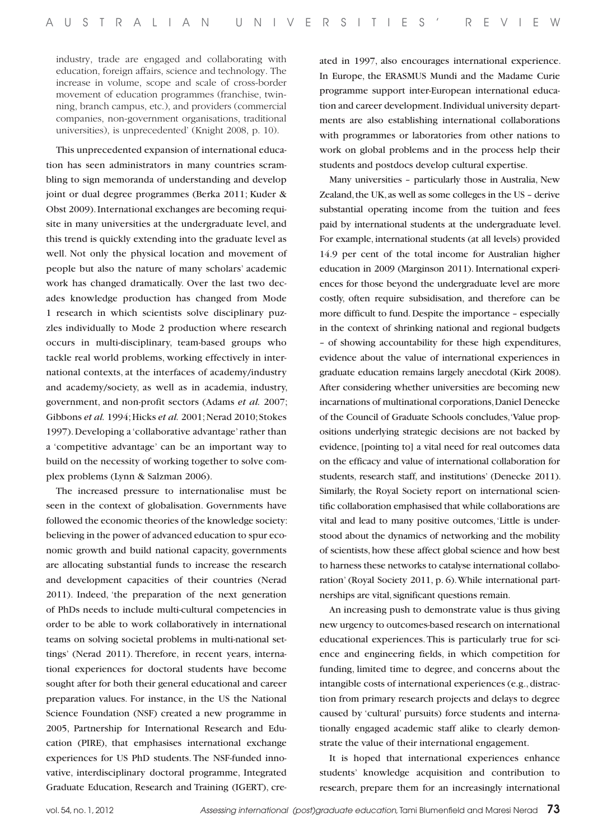industry, trade are engaged and collaborating with education, foreign affairs, science and technology. The increase in volume, scope and scale of cross-border movement of education programmes (franchise, twinning, branch campus, etc.), and providers (commercial companies, non-government organisations, traditional universities), is unprecedented' (Knight 2008, p. 10).

This unprecedented expansion of international education has seen administrators in many countries scrambling to sign memoranda of understanding and develop joint or dual degree programmes (Berka 2011; Kuder & Obst 2009). International exchanges are becoming requisite in many universities at the undergraduate level, and this trend is quickly extending into the graduate level as well. Not only the physical location and movement of people but also the nature of many scholars' academic work has changed dramatically. Over the last two decades knowledge production has changed from Mode 1 research in which scientists solve disciplinary puzzles individually to Mode 2 production where research occurs in multi-disciplinary, team-based groups who tackle real world problems, working effectively in international contexts, at the interfaces of academy/industry and academy/society, as well as in academia, industry, government, and non-profit sectors (Adams *et al.* 2007; Gibbons *et al.* 1994; Hicks *et al.* 2001; Nerad 2010; Stokes 1997). Developing a 'collaborative advantage' rather than a 'competitive advantage' can be an important way to build on the necessity of working together to solve complex problems (Lynn & Salzman 2006).

The increased pressure to internationalise must be seen in the context of globalisation. Governments have followed the economic theories of the knowledge society: believing in the power of advanced education to spur economic growth and build national capacity, governments are allocating substantial funds to increase the research and development capacities of their countries (Nerad 2011). Indeed, 'the preparation of the next generation of PhDs needs to include multi-cultural competencies in order to be able to work collaboratively in international teams on solving societal problems in multi-national settings' (Nerad 2011). Therefore, in recent years, international experiences for doctoral students have become sought after for both their general educational and career preparation values. For instance, in the US the National Science Foundation (NSF) created a new programme in 2005, Partnership for International Research and Education (PIRE), that emphasises international exchange experiences for US PhD students. The NSF-funded innovative, interdisciplinary doctoral programme, Integrated Graduate Education, Research and Training (IGERT), cre-

ated in 1997, also encourages international experience. In Europe, the ERASMUS Mundi and the Madame Curie programme support inter-European international education and career development. Individual university departments are also establishing international collaborations with programmes or laboratories from other nations to work on global problems and in the process help their students and postdocs develop cultural expertise.

Many universities – particularly those in Australia, New Zealand, the UK, as well as some colleges in the US – derive substantial operating income from the tuition and fees paid by international students at the undergraduate level. For example, international students (at all levels) provided 14.9 per cent of the total income for Australian higher education in 2009 (Marginson 2011). International experiences for those beyond the undergraduate level are more costly, often require subsidisation, and therefore can be more difficult to fund. Despite the importance – especially in the context of shrinking national and regional budgets – of showing accountability for these high expenditures, evidence about the value of international experiences in graduate education remains largely anecdotal (Kirk 2008). After considering whether universities are becoming new incarnations of multinational corporations, Daniel Denecke of the Council of Graduate Schools concludes, 'Value propositions underlying strategic decisions are not backed by evidence, [pointing to] a vital need for real outcomes data on the efficacy and value of international collaboration for students, research staff, and institutions' (Denecke 2011). Similarly, the Royal Society report on international scientific collaboration emphasised that while collaborations are vital and lead to many positive outcomes, 'Little is understood about the dynamics of networking and the mobility of scientists, how these affect global science and how best to harness these networks to catalyse international collaboration' (Royal Society 2011, p. 6). While international partnerships are vital, significant questions remain.

An increasing push to demonstrate value is thus giving new urgency to outcomes-based research on international educational experiences. This is particularly true for science and engineering fields, in which competition for funding, limited time to degree, and concerns about the intangible costs of international experiences (e.g., distraction from primary research projects and delays to degree caused by 'cultural' pursuits) force students and internationally engaged academic staff alike to clearly demonstrate the value of their international engagement.

It is hoped that international experiences enhance students' knowledge acquisition and contribution to research, prepare them for an increasingly international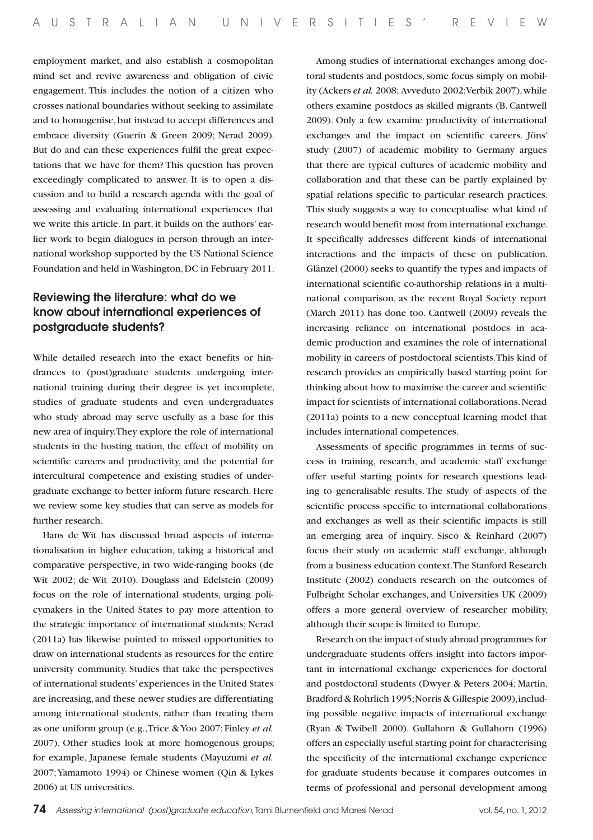employment market, and also establish a cosmopolitan mind set and revive awareness and obligation of civic engagement. This includes the notion of a citizen who crosses national boundaries without seeking to assimilate and to homogenise, but instead to accept differences and embrace diversity (Guerin & Green 2009; Nerad 2009). But do and can these experiences fulfil the great expectations that we have for them? This question has proven exceedingly complicated to answer. It is to open a discussion and to build a research agenda with the goal of assessing and evaluating international experiences that we write this article. In part, it builds on the authors' earlier work to begin dialogues in person through an international workshop supported by the US National Science Foundation and held in Washington, DC in February 2011.

## Reviewing the literature: what do we know about international experiences of postgraduate students?

While detailed research into the exact benefits or hindrances to (post)graduate students undergoing international training during their degree is yet incomplete, studies of graduate students and even undergraduates who study abroad may serve usefully as a base for this new area of inquiry. They explore the role of international students in the hosting nation, the effect of mobility on scientific careers and productivity, and the potential for intercultural competence and existing studies of undergraduate exchange to better inform future research. Here we review some key studies that can serve as models for further research.

Hans de Wit has discussed broad aspects of internationalisation in higher education, taking a historical and comparative perspective, in two wide-ranging books (de Wit 2002; de Wit 2010). Douglass and Edelstein (2009) focus on the role of international students, urging policymakers in the United States to pay more attention to the strategic importance of international students; Nerad (2011a) has likewise pointed to missed opportunities to draw on international students as resources for the entire university community. Studies that take the perspectives of international students' experiences in the United States are increasing, and these newer studies are differentiating among international students, rather than treating them as one uniform group (e.g., Trice & Yoo 2007; Finley *et al.* 2007). Other studies look at more homogenous groups; for example, Japanese female students (Mayuzumi *et al.* 2007; Yamamoto 1994) or Chinese women (Qin & Lykes 2006) at US universities.

Among studies of international exchanges among doctoral students and postdocs, some focus simply on mobility (Ackers *et al.* 2008; Avveduto 2002; Verbik 2007), while others examine postdocs as skilled migrants (B. Cantwell 2009). Only a few examine productivity of international exchanges and the impact on scientific careers. Jöns' study (2007) of academic mobility to Germany argues that there are typical cultures of academic mobility and collaboration and that these can be partly explained by spatial relations specific to particular research practices. This study suggests a way to conceptualise what kind of research would benefit most from international exchange. It specifically addresses different kinds of international interactions and the impacts of these on publication. Glänzel (2000) seeks to quantify the types and impacts of international scientific co-authorship relations in a multinational comparison, as the recent Royal Society report (March 2011) has done too. Cantwell (2009) reveals the increasing reliance on international postdocs in academic production and examines the role of international mobility in careers of postdoctoral scientists. This kind of research provides an empirically based starting point for thinking about how to maximise the career and scientific impact for scientists of international collaborations. Nerad (2011a) points to a new conceptual learning model that includes international competences.

Assessments of specific programmes in terms of success in training, research, and academic staff exchange offer useful starting points for research questions leading to generalisable results. The study of aspects of the scientific process specific to international collaborations and exchanges as well as their scientific impacts is still an emerging area of inquiry. Sisco & Reinhard (2007) focus their study on academic staff exchange, although from a business education context. The Stanford Research Institute (2002) conducts research on the outcomes of Fulbright Scholar exchanges, and Universities UK (2009) offers a more general overview of researcher mobility, although their scope is limited to Europe.

Research on the impact of study abroad programmes for undergraduate students offers insight into factors important in international exchange experiences for doctoral and postdoctoral students (Dwyer & Peters 2004; Martin, Bradford & Rohrlich 1995; Norris & Gillespie 2009), including possible negative impacts of international exchange (Ryan & Twibell 2000). Gullahorn & Gullahorn (1996) offers an especially useful starting point for characterising the specificity of the international exchange experience for graduate students because it compares outcomes in terms of professional and personal development among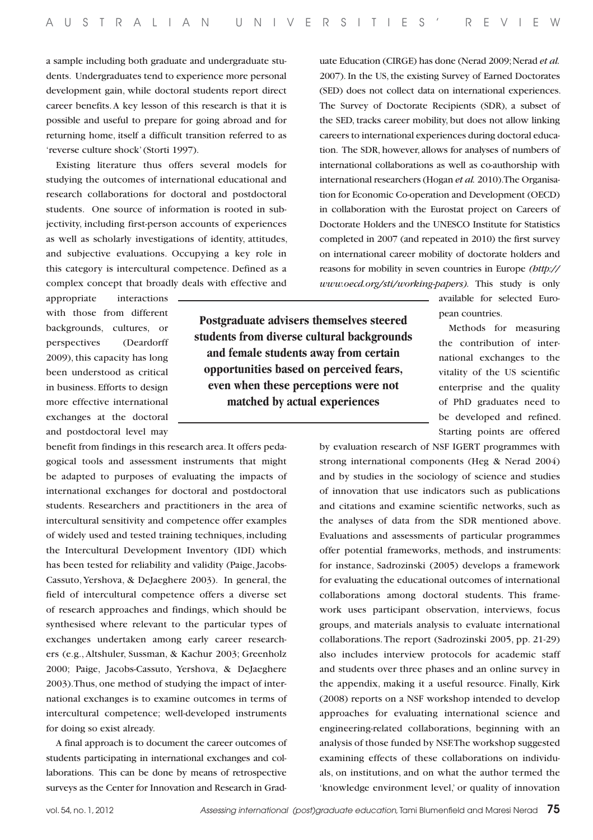a sample including both graduate and undergraduate students. Undergraduates tend to experience more personal development gain, while doctoral students report direct career benefits. A key lesson of this research is that it is possible and useful to prepare for going abroad and for returning home, itself a difficult transition referred to as 'reverse culture shock' (Storti 1997).

Existing literature thus offers several models for studying the outcomes of international educational and research collaborations for doctoral and postdoctoral students. One source of information is rooted in subjectivity, including first-person accounts of experiences as well as scholarly investigations of identity, attitudes, and subjective evaluations. Occupying a key role in this category is intercultural competence. Defined as a complex concept that broadly deals with effective and uate Education (CIRGE) has done (Nerad 2009; Nerad *et al.* 2007). In the US, the existing Survey of Earned Doctorates (SED) does not collect data on international experiences. The Survey of Doctorate Recipients (SDR), a subset of the SED, tracks career mobility, but does not allow linking careers to international experiences during doctoral education. The SDR, however, allows for analyses of numbers of international collaborations as well as co-authorship with international researchers (Hogan *et al.* 2010). The Organisation for Economic Co-operation and Development (OECD) in collaboration with the Eurostat project on Careers of Doctorate Holders and the UNESCO Institute for Statistics completed in 2007 (and repeated in 2010) the first survey on international career mobility of doctorate holders and reasons for mobility in seven countries in Europe *(http:// www.oecd.org/sti/working-papers).* This study is only

> available for selected European countries.

> Methods for measuring the contribution of international exchanges to the vitality of the US scientific enterprise and the quality of PhD graduates need to be developed and refined. Starting points are offered

by evaluation research of NSF IGERT programmes with strong international components (Heg & Nerad 2004) and by studies in the sociology of science and studies of innovation that use indicators such as publications and citations and examine scientific networks, such as the analyses of data from the SDR mentioned above. Evaluations and assessments of particular programmes offer potential frameworks, methods, and instruments: for instance, Sadrozinski (2005) develops a framework for evaluating the educational outcomes of international collaborations among doctoral students. This framework uses participant observation, interviews, focus groups, and materials analysis to evaluate international collaborations. The report (Sadrozinski 2005, pp. 21-29) also includes interview protocols for academic staff and students over three phases and an online survey in the appendix, making it a useful resource. Finally, Kirk (2008) reports on a NSF workshop intended to develop approaches for evaluating international science and engineering-related collaborations, beginning with an analysis of those funded by NSF. The workshop suggested examining effects of these collaborations on individuals, on institutions, and on what the author termed the 'knowledge environment level,' or quality of innovation

appropriate interactions with those from different backgrounds, cultures, or perspectives (Deardorff 2009), this capacity has long been understood as critical in business. Efforts to design more effective international exchanges at the doctoral and postdoctoral level may

benefit from findings in this research area. It offers pedagogical tools and assessment instruments that might be adapted to purposes of evaluating the impacts of international exchanges for doctoral and postdoctoral students. Researchers and practitioners in the area of intercultural sensitivity and competence offer examples of widely used and tested training techniques, including the Intercultural Development Inventory (IDI) which has been tested for reliability and validity (Paige, Jacobs-Cassuto, Yershova, & DeJaeghere 2003). In general, the field of intercultural competence offers a diverse set of research approaches and findings, which should be synthesised where relevant to the particular types of exchanges undertaken among early career researchers (e.g., Altshuler, Sussman, & Kachur 2003; Greenholz 2000; Paige, Jacobs-Cassuto, Yershova, & DeJaeghere 2003).Thus, one method of studying the impact of international exchanges is to examine outcomes in terms of intercultural competence; well-developed instruments for doing so exist already.

A final approach is to document the career outcomes of students participating in international exchanges and collaborations. This can be done by means of retrospective surveys as the Center for Innovation and Research in Grad-

**Postgraduate advisers themselves steered students from diverse cultural backgrounds and female students away from certain opportunities based on perceived fears, even when these perceptions were not matched by actual experiences**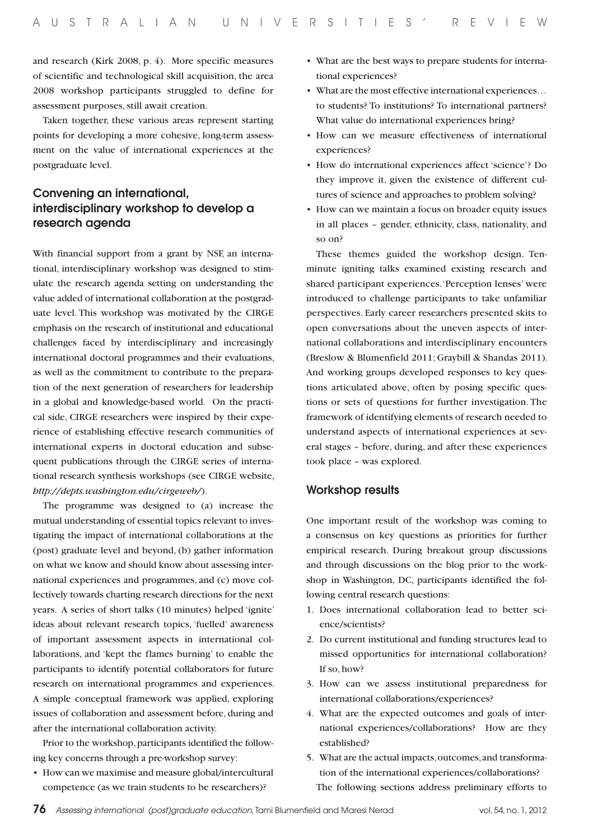and research (Kirk 2008, p. 4). More specific measures of scientific and technological skill acquisition, the area 2008 workshop participants struggled to define for assessment purposes, still await creation.

Taken together, these various areas represent starting points for developing a more cohesive, long-term assessment on the value of international experiences at the postgraduate level.

## Convening an international, interdisciplinary workshop to develop a research agenda

With financial support from a grant by NSF, an international, interdisciplinary workshop was designed to stimulate the research agenda setting on understanding the value added of international collaboration at the postgraduate level. This workshop was motivated by the CIRGE emphasis on the research of institutional and educational challenges faced by interdisciplinary and increasingly international doctoral programmes and their evaluations, as well as the commitment to contribute to the preparation of the next generation of researchers for leadership in a global and knowledge-based world. On the practical side, CIRGE researchers were inspired by their experience of establishing effective research communities of international experts in doctoral education and subsequent publications through the CIRGE series of international research synthesis workshops (see CIRGE website, *http://depts.washington.edu/cirgeweb/*).

The programme was designed to (a) increase the mutual understanding of essential topics relevant to investigating the impact of international collaborations at the (post) graduate level and beyond, (b) gather information on what we know and should know about assessing international experiences and programmes, and (c) move collectively towards charting research directions for the next years. A series of short talks (10 minutes) helped 'ignite' ideas about relevant research topics, 'fuelled' awareness of important assessment aspects in international collaborations, and 'kept the flames burning' to enable the participants to identify potential collaborators for future research on international programmes and experiences. A simple conceptual framework was applied, exploring issues of collaboration and assessment before, during and after the international collaboration activity.

Prior to the workshop, participants identified the following key concerns through a pre-workshop survey:

• How can we maximise and measure global/intercultural competence (as we train students to be researchers)?

- What are the best ways to prepare students for international experiences?
- What are the most effective international experiences... to students? To institutions? To international partners? What value do international experiences bring?
- How can we measure effectiveness of international experiences?
- • How do international experiences affect 'science'? Do they improve it, given the existence of different cultures of science and approaches to problem solving?
- How can we maintain a focus on broader equity issues in all places – gender, ethnicity, class, nationality, and so on?

These themes guided the workshop design. Tenminute igniting talks examined existing research and shared participant experiences. 'Perception lenses' were introduced to challenge participants to take unfamiliar perspectives. Early career researchers presented skits to open conversations about the uneven aspects of international collaborations and interdisciplinary encounters (Breslow & Blumenfield 2011; Graybill & Shandas 2011). And working groups developed responses to key questions articulated above, often by posing specific questions or sets of questions for further investigation. The framework of identifying elements of research needed to understand aspects of international experiences at several stages – before, during, and after these experiences took place – was explored.

#### Workshop results

One important result of the workshop was coming to a consensus on key questions as priorities for further empirical research. During breakout group discussions and through discussions on the blog prior to the workshop in Washington, DC, participants identified the following central research questions:

- 1. Does international collaboration lead to better science/scientists?
- 2. Do current institutional and funding structures lead to missed opportunities for international collaboration? If so, how?
- 3. How can we assess institutional preparedness for international collaborations/experiences?
- 4. What are the expected outcomes and goals of international experiences/collaborations? How are they established?
- 5. What are the actual impacts, outcomes, and transformation of the international experiences/collaborations? The following sections address preliminary efforts to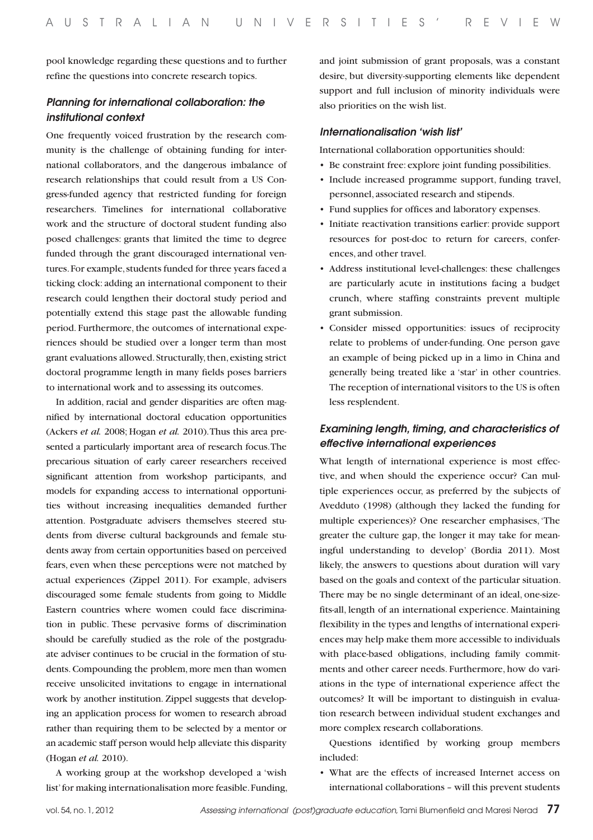pool knowledge regarding these questions and to further refine the questions into concrete research topics.

#### *Planning for international collaboration: the institutional context*

One frequently voiced frustration by the research community is the challenge of obtaining funding for international collaborators, and the dangerous imbalance of research relationships that could result from a US Congress-funded agency that restricted funding for foreign researchers. Timelines for international collaborative work and the structure of doctoral student funding also posed challenges: grants that limited the time to degree funded through the grant discouraged international ventures. For example, students funded for three years faced a ticking clock: adding an international component to their research could lengthen their doctoral study period and potentially extend this stage past the allowable funding period. Furthermore, the outcomes of international experiences should be studied over a longer term than most grant evaluations allowed. Structurally, then, existing strict doctoral programme length in many fields poses barriers to international work and to assessing its outcomes.

In addition, racial and gender disparities are often magnified by international doctoral education opportunities (Ackers *et al.* 2008; Hogan *et al.* 2010). Thus this area presented a particularly important area of research focus. The precarious situation of early career researchers received significant attention from workshop participants, and models for expanding access to international opportunities without increasing inequalities demanded further attention. Postgraduate advisers themselves steered students from diverse cultural backgrounds and female students away from certain opportunities based on perceived fears, even when these perceptions were not matched by actual experiences (Zippel 2011). For example, advisers discouraged some female students from going to Middle Eastern countries where women could face discrimination in public. These pervasive forms of discrimination should be carefully studied as the role of the postgraduate adviser continues to be crucial in the formation of students. Compounding the problem, more men than women receive unsolicited invitations to engage in international work by another institution. Zippel suggests that developing an application process for women to research abroad rather than requiring them to be selected by a mentor or an academic staff person would help alleviate this disparity (Hogan *et al.* 2010).

A working group at the workshop developed a 'wish list' for making internationalisation more feasible. Funding,

and joint submission of grant proposals, was a constant desire, but diversity-supporting elements like dependent support and full inclusion of minority individuals were also priorities on the wish list.

#### *Internationalisation 'wish list'*

International collaboration opportunities should:

- • Be constraint free: explore joint funding possibilities.
- • Include increased programme support, funding travel, personnel, associated research and stipends.
- Fund supplies for offices and laboratory expenses.
- Initiate reactivation transitions earlier: provide support resources for post-doc to return for careers, conferences, and other travel.
- • Address institutional level-challenges: these challenges are particularly acute in institutions facing a budget crunch, where staffing constraints prevent multiple grant submission.
- • Consider missed opportunities: issues of reciprocity relate to problems of under-funding. One person gave an example of being picked up in a limo in China and generally being treated like a 'star' in other countries. The reception of international visitors to the US is often less resplendent.

#### *Examining length, timing, and characteristics of effective international experiences*

What length of international experience is most effective, and when should the experience occur? Can multiple experiences occur, as preferred by the subjects of Avedduto (1998) (although they lacked the funding for multiple experiences)? One researcher emphasises, 'The greater the culture gap, the longer it may take for meaningful understanding to develop' (Bordia 2011). Most likely, the answers to questions about duration will vary based on the goals and context of the particular situation. There may be no single determinant of an ideal, one-sizefits-all, length of an international experience. Maintaining flexibility in the types and lengths of international experiences may help make them more accessible to individuals with place-based obligations, including family commitments and other career needs. Furthermore, how do variations in the type of international experience affect the outcomes? It will be important to distinguish in evaluation research between individual student exchanges and more complex research collaborations.

Questions identified by working group members included:

• What are the effects of increased Internet access on international collaborations – will this prevent students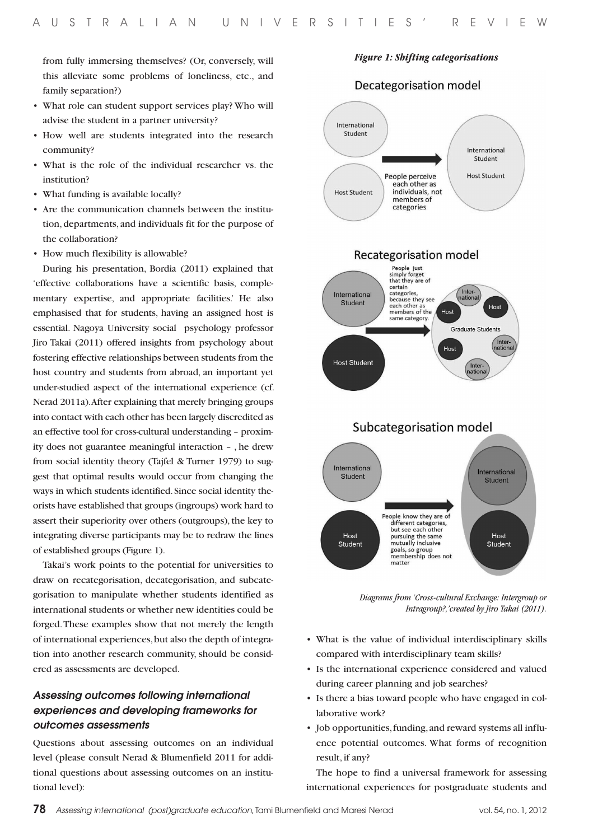from fully immersing themselves? (Or, conversely, will this alleviate some problems of loneliness, etc., and family separation?)

- What role can student support services play? Who will advise the student in a partner university?
- • How well are students integrated into the research community?
- • What is the role of the individual researcher vs. the institution?
- What funding is available locally?
- • Are the communication channels between the institution, departments, and individuals fit for the purpose of the collaboration?
- How much flexibility is allowable?

During his presentation, Bordia (2011) explained that 'effective collaborations have a scientific basis, complementary expertise, and appropriate facilities.' He also emphasised that for students, having an assigned host is essential. Nagoya University social psychology professor Jiro Takai (2011) offered insights from psychology about fostering effective relationships between students from the host country and students from abroad, an important yet under-studied aspect of the international experience (cf. Nerad 2011a). After explaining that merely bringing groups into contact with each other has been largely discredited as an effective tool for cross-cultural understanding – proximity does not guarantee meaningful interaction – , he drew from social identity theory (Tajfel & Turner 1979) to suggest that optimal results would occur from changing the ways in which students identified. Since social identity theorists have established that groups (ingroups) work hard to assert their superiority over others (outgroups), the key to integrating diverse participants may be to redraw the lines of established groups (Figure 1).

Takai's work points to the potential for universities to draw on recategorisation, decategorisation, and subcategorisation to manipulate whether students identified as international students or whether new identities could be forged. These examples show that not merely the length of international experiences, but also the depth of integration into another research community, should be considered as assessments are developed.

### *Assessing outcomes following international experiences and developing frameworks for outcomes assessments*

Questions about assessing outcomes on an individual level (please consult Nerad & Blumenfield 2011 for additional questions about assessing outcomes on an institutional level):



*Figure 1: Shifting categorisations*

Decategorisation model

*Diagrams from 'Cross-cultural Exchange: Intergroup or Intragroup?,'created by Jiro Takai (2011).*

- • What is the value of individual interdisciplinary skills compared with interdisciplinary team skills?
- Is the international experience considered and valued during career planning and job searches?
- Is there a bias toward people who have engaged in collaborative work?
- Job opportunities, funding, and reward systems all influence potential outcomes. What forms of recognition result, if any?

The hope to find a universal framework for assessing international experiences for postgraduate students and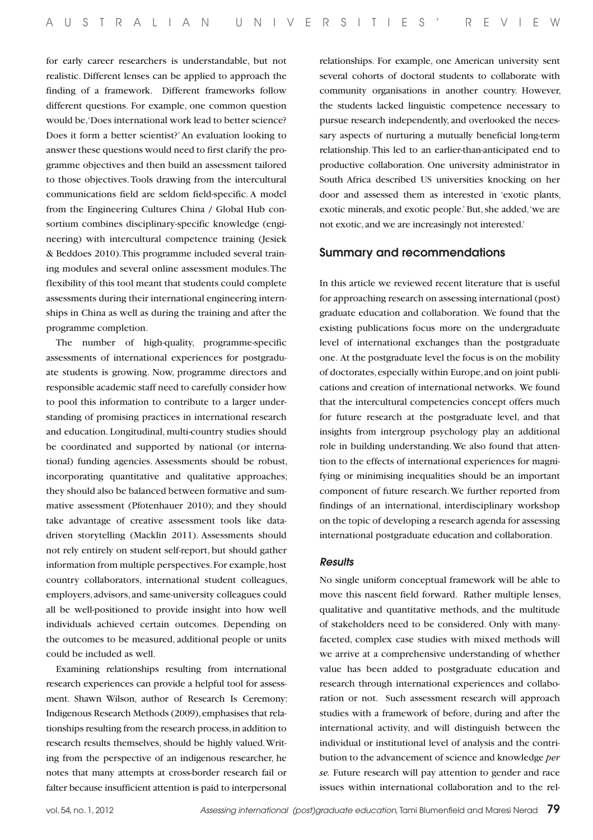for early career researchers is understandable, but not realistic. Different lenses can be applied to approach the finding of a framework. Different frameworks follow different questions. For example, one common question would be, 'Does international work lead to better science? Does it form a better scientist?' An evaluation looking to answer these questions would need to first clarify the programme objectives and then build an assessment tailored to those objectives. Tools drawing from the intercultural communications field are seldom field-specific. A model from the Engineering Cultures China / Global Hub consortium combines disciplinary-specific knowledge (engineering) with intercultural competence training (Jesiek & Beddoes 2010). This programme included several training modules and several online assessment modules. The flexibility of this tool meant that students could complete assessments during their international engineering internships in China as well as during the training and after the programme completion.

The number of high-quality, programme-specific assessments of international experiences for postgraduate students is growing. Now, programme directors and responsible academic staff need to carefully consider how to pool this information to contribute to a larger understanding of promising practices in international research and education. Longitudinal, multi-country studies should be coordinated and supported by national (or international) funding agencies. Assessments should be robust, incorporating quantitative and qualitative approaches; they should also be balanced between formative and summative assessment (Pfotenhauer 2010); and they should take advantage of creative assessment tools like datadriven storytelling (Macklin 2011). Assessments should not rely entirely on student self-report, but should gather information from multiple perspectives. For example, host country collaborators, international student colleagues, employers, advisors, and same-university colleagues could all be well-positioned to provide insight into how well individuals achieved certain outcomes. Depending on the outcomes to be measured, additional people or units could be included as well.

Examining relationships resulting from international research experiences can provide a helpful tool for assessment. Shawn Wilson, author of Research Is Ceremony: Indigenous Research Methods (2009), emphasises that relationships resulting from the research process, in addition to research results themselves, should be highly valued. Writing from the perspective of an indigenous researcher, he notes that many attempts at cross-border research fail or falter because insufficient attention is paid to interpersonal

relationships. For example, one American university sent several cohorts of doctoral students to collaborate with community organisations in another country. However, the students lacked linguistic competence necessary to pursue research independently, and overlooked the necessary aspects of nurturing a mutually beneficial long-term relationship. This led to an earlier-than-anticipated end to productive collaboration. One university administrator in South Africa described US universities knocking on her door and assessed them as interested in 'exotic plants, exotic minerals, and exotic people.' But, she added, 'we are not exotic, and we are increasingly not interested.'

#### Summary and recommendations

In this article we reviewed recent literature that is useful for approaching research on assessing international (post) graduate education and collaboration. We found that the existing publications focus more on the undergraduate level of international exchanges than the postgraduate one. At the postgraduate level the focus is on the mobility of doctorates, especially within Europe, and on joint publications and creation of international networks. We found that the intercultural competencies concept offers much for future research at the postgraduate level, and that insights from intergroup psychology play an additional role in building understanding. We also found that attention to the effects of international experiences for magnifying or minimising inequalities should be an important component of future research. We further reported from findings of an international, interdisciplinary workshop on the topic of developing a research agenda for assessing international postgraduate education and collaboration.

#### *Results*

No single uniform conceptual framework will be able to move this nascent field forward. Rather multiple lenses, qualitative and quantitative methods, and the multitude of stakeholders need to be considered. Only with manyfaceted, complex case studies with mixed methods will we arrive at a comprehensive understanding of whether value has been added to postgraduate education and research through international experiences and collaboration or not. Such assessment research will approach studies with a framework of before, during and after the international activity, and will distinguish between the individual or institutional level of analysis and the contribution to the advancement of science and knowledge *per se.* Future research will pay attention to gender and race issues within international collaboration and to the rel-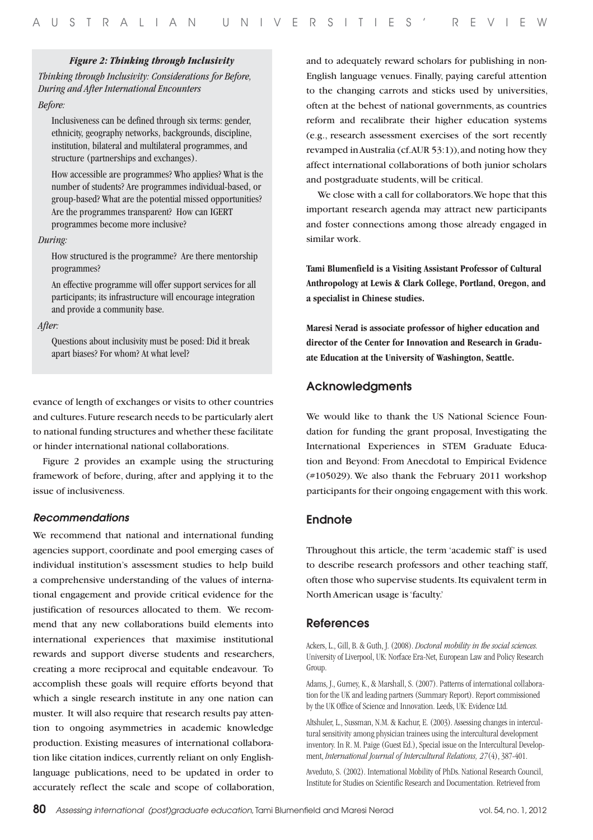#### *Figure 2: Thinking through Inclusivity*

*Thinking through Inclusivity: Considerations for Before, During and After International Encounters* 

*Before:* 

Inclusiveness can be defined through six terms: gender, ethnicity, geography networks, backgrounds, discipline, institution, bilateral and multilateral programmes, and structure (partnerships and exchanges).

How accessible are programmes? Who applies? What is the number of students? Are programmes individual-based, or group-based? What are the potential missed opportunities? Are the programmes transparent? How can IGERT programmes become more inclusive?

#### *During:*

How structured is the programme? Are there mentorship programmes?

An effective programme will offer support services for all participants; its infrastructure will encourage integration and provide a community base.

#### *After:*

Questions about inclusivity must be posed: Did it break apart biases? For whom? At what level?

evance of length of exchanges or visits to other countries and cultures. Future research needs to be particularly alert to national funding structures and whether these facilitate or hinder international national collaborations.

Figure 2 provides an example using the structuring framework of before, during, after and applying it to the issue of inclusiveness.

#### *Recommendations*

We recommend that national and international funding agencies support, coordinate and pool emerging cases of individual institution's assessment studies to help build a comprehensive understanding of the values of international engagement and provide critical evidence for the justification of resources allocated to them. We recommend that any new collaborations build elements into international experiences that maximise institutional rewards and support diverse students and researchers, creating a more reciprocal and equitable endeavour. To accomplish these goals will require efforts beyond that which a single research institute in any one nation can muster. It will also require that research results pay attention to ongoing asymmetries in academic knowledge production. Existing measures of international collaboration like citation indices, currently reliant on only Englishlanguage publications, need to be updated in order to accurately reflect the scale and scope of collaboration, and to adequately reward scholars for publishing in non-English language venues. Finally, paying careful attention to the changing carrots and sticks used by universities, often at the behest of national governments, as countries reform and recalibrate their higher education systems (e.g., research assessment exercises of the sort recently revamped in Australia (cf. AUR 53:1)), and noting how they affect international collaborations of both junior scholars and postgraduate students, will be critical.

 We close with a call for collaborators. We hope that this important research agenda may attract new participants and foster connections among those already engaged in similar work.

**Tami Blumenfield is a Visiting Assistant Professor of Cultural Anthropology at Lewis & Clark College, Portland, Oregon, and a specialist in Chinese studies.**

**Maresi Nerad is associate professor of higher education and director of the Center for Innovation and Research in Graduate Education at the University of Washington, Seattle.**

#### Acknowledgments

We would like to thank the US National Science Foundation for funding the grant proposal, Investigating the International Experiences in STEM Graduate Education and Beyond: From Anecdotal to Empirical Evidence (#105029). We also thank the February 2011 workshop participants for their ongoing engagement with this work.

#### **Endnote**

Throughout this article, the term 'academic staff' is used to describe research professors and other teaching staff, often those who supervise students. Its equivalent term in North American usage is 'faculty.'

#### References

Ackers, L., Gill, B. & Guth, J. (2008). *Doctoral mobility in the social sciences.*  University of Liverpool, UK: Norface Era-Net, European Law and Policy Research Group.

Adams, J., Gurney, K., & Marshall, S. (2007). Patterns of international collaboration for the UK and leading partners (Summary Report). Report commissioned by the UK Office of Science and Innovation. Leeds, UK: Evidence Ltd.

Altshuler, L., Sussman, N.M. & Kachur, E. (2003). Assessing changes in intercultural sensitivity among physician trainees using the intercultural development inventory. In R. M. Paige (Guest Ed.), Special issue on the Intercultural Development, *International Journal of Intercultural Relations, 27*(4), 387-401.

Avveduto, S. (2002). International Mobility of PhDs. National Research Council, Institute for Studies on Scientific Research and Documentation. Retrieved from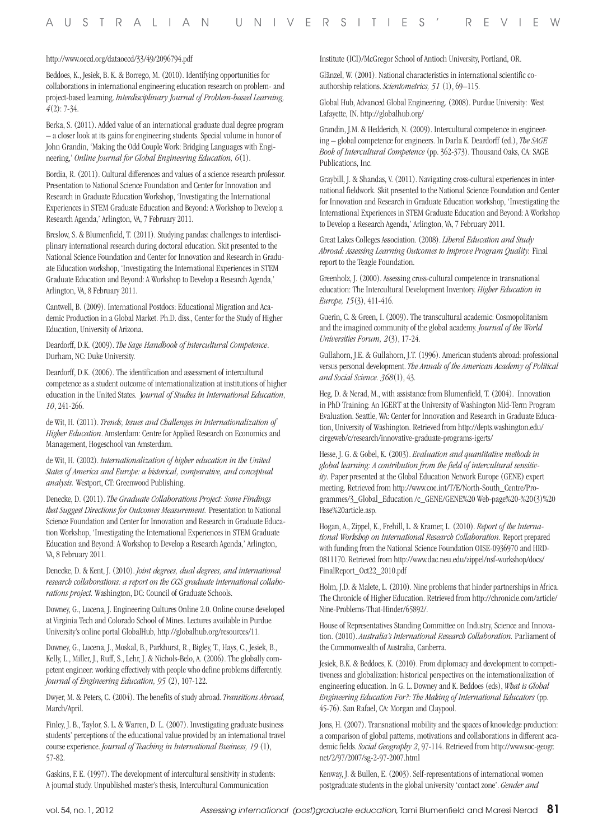#### http://www.oecd.org/dataoecd/33/49/2096794.pdf

Beddoes, K., Jesiek, B. K. & Borrego, M. (2010). Identifying opportunities for collaborations in international engineering education research on problem- and project-based learning. *Interdisciplinary Journal of Problem-based Learning, 4*(2): 7-34.

Berka, S. (2011). Added value of an international graduate dual degree program – a closer look at its gains for engineering students. Special volume in honor of John Grandin, 'Making the Odd Couple Work: Bridging Languages with Engineering,' *Online Journal for Global Engineering Education, 6*(1).

Bordia, R. (2011). Cultural differences and values of a science research professor. Presentation to National Science Foundation and Center for Innovation and Research in Graduate Education Workshop, 'Investigating the International Experiences in STEM Graduate Education and Beyond: A Workshop to Develop a Research Agenda,' Arlington, VA, 7 February 2011.

Breslow, S. & Blumenfield, T. (2011). Studying pandas: challenges to interdisciplinary international research during doctoral education. Skit presented to the National Science Foundation and Center for Innovation and Research in Graduate Education workshop, 'Investigating the International Experiences in STEM Graduate Education and Beyond: A Workshop to Develop a Research Agenda,' Arlington, VA, 8 February 2011.

Cantwell, B. (2009). International Postdocs: Educational Migration and Academic Production in a Global Market. Ph.D. diss., Center for the Study of Higher Education, University of Arizona.

Deardorff, D.K. (2009). *The Sage Handbook of Intercultural Competence*. Durham, NC: Duke University.

Deardorff, D.K. (2006). The identification and assessment of intercultural competence as a student outcome of internationalization at institutions of higher education in the United States. J*ournal of Studies in International Education, 10*, 241-266.

de Wit, H. (2011). *Trends, Issues and Challenges in Internationalization of Higher Education*. Amsterdam: Centre for Applied Research on Economics and Management, Hogeschool van Amsterdam.

de Wit, H. (2002). *Internationalization of higher education in the United States of America and Europe: a historical, comparative, and conceptual analysis.* Westport, CT: Greenwood Publishing.

Denecke, D. (2011). *The Graduate Collaborations Project: Some Findings that Suggest Directions for Outcomes Measurement.* Presentation to National Science Foundation and Center for Innovation and Research in Graduate Education Workshop, 'Investigating the International Experiences in STEM Graduate Education and Beyond: A Workshop to Develop a Research Agenda,' Arlington, VA, 8 February 2011.

Denecke, D. & Kent, J. (2010). *Joint degrees, dual degrees, and international research collaborations: a report on the CGS graduate international collaborations project.* Washington, DC: Council of Graduate Schools.

Downey, G., Lucena, J. Engineering Cultures Online 2.0. Online course developed at Virginia Tech and Colorado School of Mines. Lectures available in Purdue University's online portal GlobalHub, http://globalhub.org/resources/11.

Downey, G., Lucena, J., Moskal, B., Parkhurst, R., Bigley, T., Hays, C., Jesiek, B., Kelly, L., Miller, J., Ruff, S., Lehr, J. & Nichols-Belo, A. (2006). The globally competent engineer: working effectively with people who define problems differently. *Journal of Engineering Education, 95* (2), 107-122.

Dwyer, M. & Peters, C. (2004). The benefits of study abroad. *Transitions Abroad,*  March/April.

Finley, J. B., Taylor, S. L. & Warren, D. L. (2007). Investigating graduate business students' perceptions of the educational value provided by an international travel course experience. *Journal of Teaching in International Business, 19* (1), 57-82.

Gaskins, F. E. (1997). The development of intercultural sensitivity in students: A journal study. Unpublished master's thesis, Intercultural Communication

Institute (ICI)/McGregor School of Antioch University, Portland, OR.

Glänzel, W. (2001). National characteristics in international scientific coauthorship relations. *Scientometrics, 51* (1), 69–115.

Global Hub, Advanced Global Engineering. (2008). Purdue University: West Lafayette, IN. http://globalhub.org/

Grandin, J.M. & Hedderich, N. (2009). Intercultural competence in engineering – global competence for engineers. In Darla K. Deardorff (ed.), *The SAGE Book of Intercultural Competence* (pp. 362-373). Thousand Oaks, CA: SAGE Publications, Inc.

Graybill, J. & Shandas, V. (2011). Navigating cross-cultural experiences in international fieldwork. Skit presented to the National Science Foundation and Center for Innovation and Research in Graduate Education workshop, 'Investigating the International Experiences in STEM Graduate Education and Beyond: A Workshop to Develop a Research Agenda,' Arlington, VA, 7 February 2011.

Great Lakes Colleges Association. (2008). *Liberal Education and Study Abroad: Assessing Learning Outcomes to Improve Program Quality.* Final report to the Teagle Foundation.

Greenholz, J. (2000). Assessing cross-cultural competence in transnational education: The Intercultural Development Inventory. *Higher Education in Europe, 15*(3), 411-416.

Guerin, C. & Green, I. (2009). The transcultural academic: Cosmopolitanism and the imagined community of the global academy. *Journal of the World Universities Forum, 2*(3), 17-24.

Gullahorn, J.E. & Gullahorn, J.T. (1996). American students abroad: professional versus personal development. *The Annals of the American Academy of Political and Social Science. 368*(1), 43.

Heg, D. & Nerad, M., with assistance from Blumenfield, T. (2004). Innovation in PhD Training: An IGERT at the University of Washington Mid-Term Program Evaluation. Seattle, WA: Center for Innovation and Research in Graduate Education, University of Washington. Retrieved from http://depts.washington.edu/ cirgeweb/c/research/innovative-graduate-programs-igerts/

Hesse, J. G. & Gobel, K. (2003). *Evaluation and quantitative methods in global learning: A contribution from the field of intercultural sensitivity.* Paper presented at the Global Education Network Europe (GENE) expert meeting. Retrieved from http://www.coe.int/T/E/North-South\_Centre/Programmes/3\_Global\_Education /c\_GENE/GENE%20 Web-page%20-%20(3)%20 Hsse%20article.asp.

Hogan, A., Zippel, K., Frehill, L. & Kramer, L. (2010). *Report of the International Workshop on International Research Collaboration.* Report prepared with funding from the National Science Foundation OISE-0936970 and HRD-0811170. Retrieved from http://www.dac.neu.edu/zippel/nsf-workshop/docs/ FinalReport\_Oct22\_2010.pdf

Holm, J.D. & Malete, L. (2010). Nine problems that hinder partnerships in Africa. The Chronicle of Higher Education. Retrieved from http://chronicle.com/article/ Nine-Problems-That-Hinder/65892/.

House of Representatives Standing Committee on Industry, Science and Innovation. (2010). *Australia's International Research Collaboration.* Parliament of the Commonwealth of Australia, Canberra.

Jesiek, B.K. & Beddoes, K. (2010). From diplomacy and development to competitiveness and globalization: historical perspectives on the internationalization of engineering education. In G. L. Downey and K. Beddoes (eds), *What is Global Engineering Education For?: The Making of International Educators* (pp. 45-76). San Rafael, CA: Morgan and Claypool.

Jons, H. (2007). Transnational mobility and the spaces of knowledge production: a comparison of global patterns, motivations and collaborations in different academic fields. *Social Geography 2*, 97-114. Retrieved from http://www.soc-geogr. net/2/97/2007/sg-2-97-2007.html

Kenway, J. & Bullen, E. (2003). Self-representations of international women postgraduate students in the global university 'contact zone'. *Gender and*